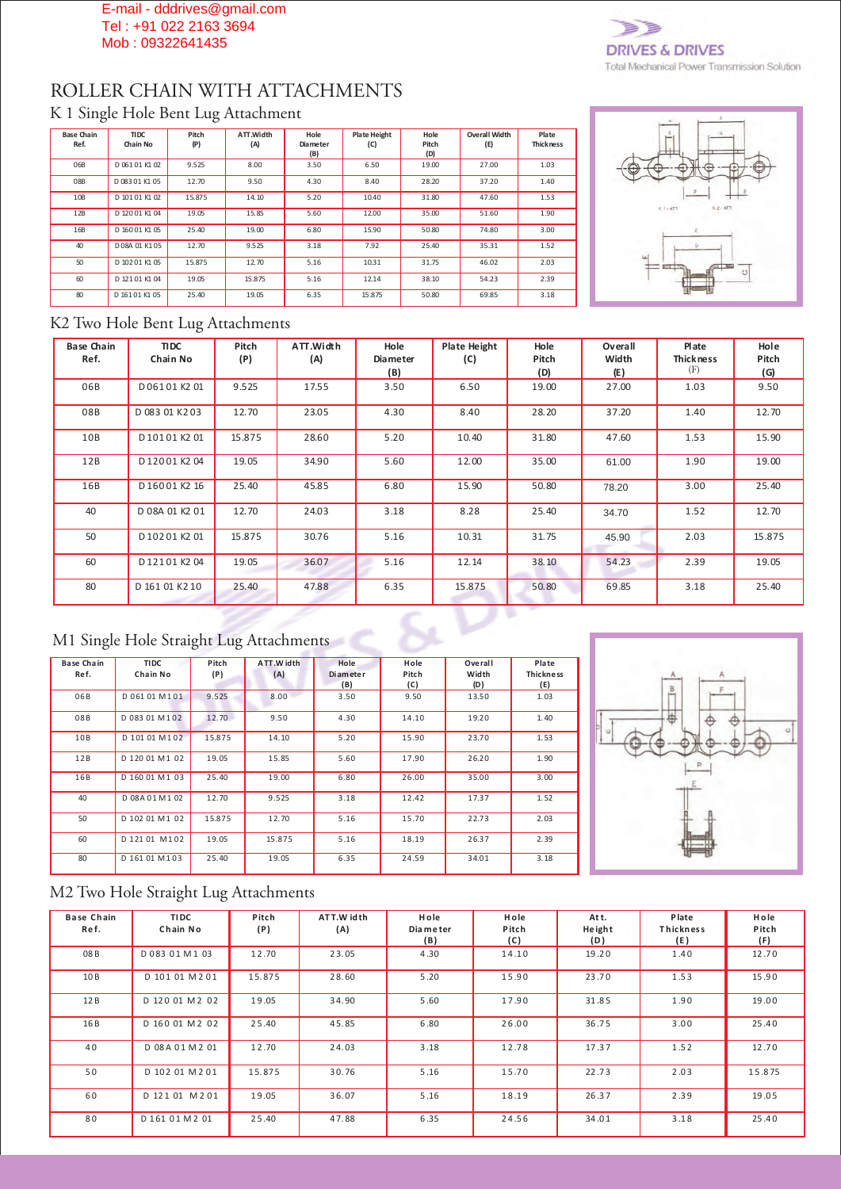#### E-mail - dddrives@gmail.com Tel : +91 022 2163 3694 Mob : 09322641435



# ROLLER CHAIN WITH ATTACHMENTS

#### K 1 Single Hole Bent Lug Attachment

| <b>Base Chain</b><br>Ref. | TIDC.<br>Chain No | Pitch<br>(P) | ATT.Width<br>(A) | Hole<br><b>Diameter</b><br>(B) | <b>Plate Height</b><br>(C) | Hole<br>Pitch<br>(D) | <b>Overall Width</b><br>(E) | Plate<br><b>Thickness</b> |
|---------------------------|-------------------|--------------|------------------|--------------------------------|----------------------------|----------------------|-----------------------------|---------------------------|
| 06B                       | D 06101 K102      | 9.525        | 8.00             | 3.50                           | 6.50                       | 19.00                | 27.00                       | 1.03                      |
| 08B                       | D 083 01 K1 05    | 12.70        | 9.50             | 4.30                           | 8.40                       | 28.20                | 37.20                       | 1.40                      |
| 10B                       | D 10101 K102      | 15.875       | 14.10            | 5.20                           | 10.40                      | 31.80                | 47.60                       | 1.53                      |
| 12B                       | D 12001 K104      | 19.05        | 15.85            | 5.60                           | 12.00                      | 35.00                | 51.60                       | 1.90                      |
| 16B                       | D 16001 K105      | 25.40        | 19.00            | 6.80                           | 15.90                      | 50.80                | 74.80                       | 3.00                      |
| 40                        | D08A 01 K105      | 12.70        | 9.525            | 3.18                           | 7.92                       | 25.40                | 35.31                       | 1.52                      |
| 50                        | D 10201 K105      | 15.875       | 12.70            | 5.16                           | 10.31                      | 31.75                | 46.02                       | 2.03                      |
| 60                        | D 12101 K104      | 19.05        | 15.875           | 5.16                           | 12.14                      | 38.10                | 54.23                       | 2.39                      |
| 80                        | D 16101 K105      | 25.40        | 19.05            | 6.35                           | 15.875                     | 50.80                | 69.85                       | 3.18                      |



#### K2 Two Hole Bent Lug Attachments

| <b>Base Chain</b><br>Ref. | <b>TIDC</b><br>Chain No | Pitch<br>(P) | ATT.Width<br>(A) | Hole<br><b>Diameter</b><br>(B) | <b>Plate Height</b><br>(C) | Hole<br>Pitch<br>(D) | Overall<br>Width<br>(E) | Plate<br>Thickness<br>(F) | Hole<br>Pitch<br>(G) |
|---------------------------|-------------------------|--------------|------------------|--------------------------------|----------------------------|----------------------|-------------------------|---------------------------|----------------------|
| 06B                       | D06101K201              | 9.525        | 17.55            | 3.50                           | 6.50                       | 19.00                | 27.00                   | 1.03                      | 9.50                 |
| 08B                       | D 083 01 K203           | 12.70        | 23.05            | 4.30                           | 8.40                       | 28.20                | 37.20                   | 1.40                      | 12.70                |
| 10B                       | D10101K201              | 15.875       | 28.60            | 5.20                           | 10.40                      | 31.80                | 47.60                   | 1.53                      | 15.90                |
| 12B                       | D12001K204              | 19.05        | 34.90            | 5.60                           | 12.00                      | 35.00                | 61.00                   | 1.90                      | 19.00                |
| 16B                       | D16001K216              | 25.40        | 45.85            | 6.80                           | 15.90                      | 50.80                | 78.20                   | 3.00                      | 25.40                |
| 40                        | D 08A 01 K2 01          | 12.70        | 24.03            | 3.18                           | 8.28                       | 25.40                | 34.70                   | 1.52                      | 12.70                |
| 50                        | D10201K201              | 15.875       | 30.76            | 5.16                           | 10.31                      | 31.75                | 45.90                   | 2.03                      | 15.875               |
| 60                        | D12101K204              | 19.05        | 36.07            | 5.16                           | 12.14                      | 38.10                | 54.23                   | 2.39                      | 19.05                |
| 80                        | D 161 01 K2 10          | 25.40        | 47.88            | 6.35                           | 15.875                     | 50.80                | 69.85                   | 3.18                      | 25.40                |

## M1 Single Hole Straight Lug Attachments

| <b>Base Chain</b><br>Ref. | <b>TIDC</b><br>Chain No | Pitch<br>(P) | ATT.Width<br>(A) | Hole<br><b>Diameter</b> | Hole<br>Pitch | Overall<br>Width | Plate<br><b>Thickness</b> |
|---------------------------|-------------------------|--------------|------------------|-------------------------|---------------|------------------|---------------------------|
|                           |                         |              |                  | (B)                     | (C)           | (D)              | (E)                       |
| 06B                       | D 061 01 M 101          | 9.525        | 8.00             | 3.50                    | 9.50          | 13.50            | 1.03                      |
| 08B                       | D 083 01 M 1 0 2        | 12.70        | 9.50             | 4.30                    | 14.10         | 19.20            | 1.40                      |
| 10B                       | D 101 01 M 102          | 15.875       | 14.10            | 5.20                    | 15.90         | 23.70            | 1.53                      |
| 12B                       | D 120 01 M 1 02         | 19.05        | 15.85            | 5.60                    | 17.90         | 26.20            | 1.90                      |
| 16B                       | D 160 01 M 1 03         | 25.40        | 19.00            | 6.80                    | 26.00         | 35.00            | 3.00                      |
| 40                        | D 08A 01M102            | 12.70        | 9.525            | 3.18                    | 12.42         | 17.37            | 1.52                      |
| 50                        | D 102 01 M 1 02         | 15.875       | 12.70            | 5.16                    | 15.70         | 22.73            | 2.03                      |
| 60                        | D 121 01 M 102          | 19.05        | 15.875           | 5.16                    | 18.19         | 26.37            | 2.39                      |
| 80                        | D 161 01 M 103          | 25.40        | 19.05            | 6.35                    | 24.59         | 34.01            | 3.18                      |



## M2 Two Hole Straight Lug Attachments

| <b>Base Chain</b><br>Ref. | <b>TIDC</b><br>Chain No | Pitch<br>(P) | ATT.W idth<br>(A) | Hole<br>Dia meter<br>(B) | Hole<br>Pitch<br>(C) | Att.<br>Height<br>(D) | Plate<br>Thickness<br>(E) | Hole<br>Pitch<br>(F) |
|---------------------------|-------------------------|--------------|-------------------|--------------------------|----------------------|-----------------------|---------------------------|----------------------|
| 08B                       | D08301M103              | 12.70        | 23.05             | 4.30                     | 14.10                | 19.20                 | 1.40                      | 12.70                |
| 10B                       | D 101 01 M 2 01         | 15.875       | 28.60             | 5.20                     | 15.90                | 23.70                 | 1.53                      | 15.90                |
| 12B                       | D 120 01 M 2 02         | 19.05        | 34.90             | 5.60                     | 17.90                | 31.85                 | 1.90                      | 19.00                |
| 16 B                      | D 160 01 M 2 02         | 25.40        | 45.85             | 6.80                     | 26.00                | 36.75                 | 3.00                      | 25.40                |
| 40                        | D 08 A 01 M 2 01        | 12.70        | 24.03             | 3.18                     | 12.78                | 17.37                 | 1.52                      | 12.70                |
| 50                        | D 102 01 M 2 01         | 15.875       | 30.76             | 5.16                     | 15.70                | 22.73                 | 2.03                      | 15.875               |
| 60                        | D 121 01 M 2 01         | 19.05        | 36.07             | 5.16                     | 18.19                | 26.37                 | 2.39                      | 19.05                |
| 80                        | D 161 0 1 M 2 0 1       | 25.40        | 47.88             | 6.35                     | 24.56                | 34.01                 | 3.18                      | 25.40                |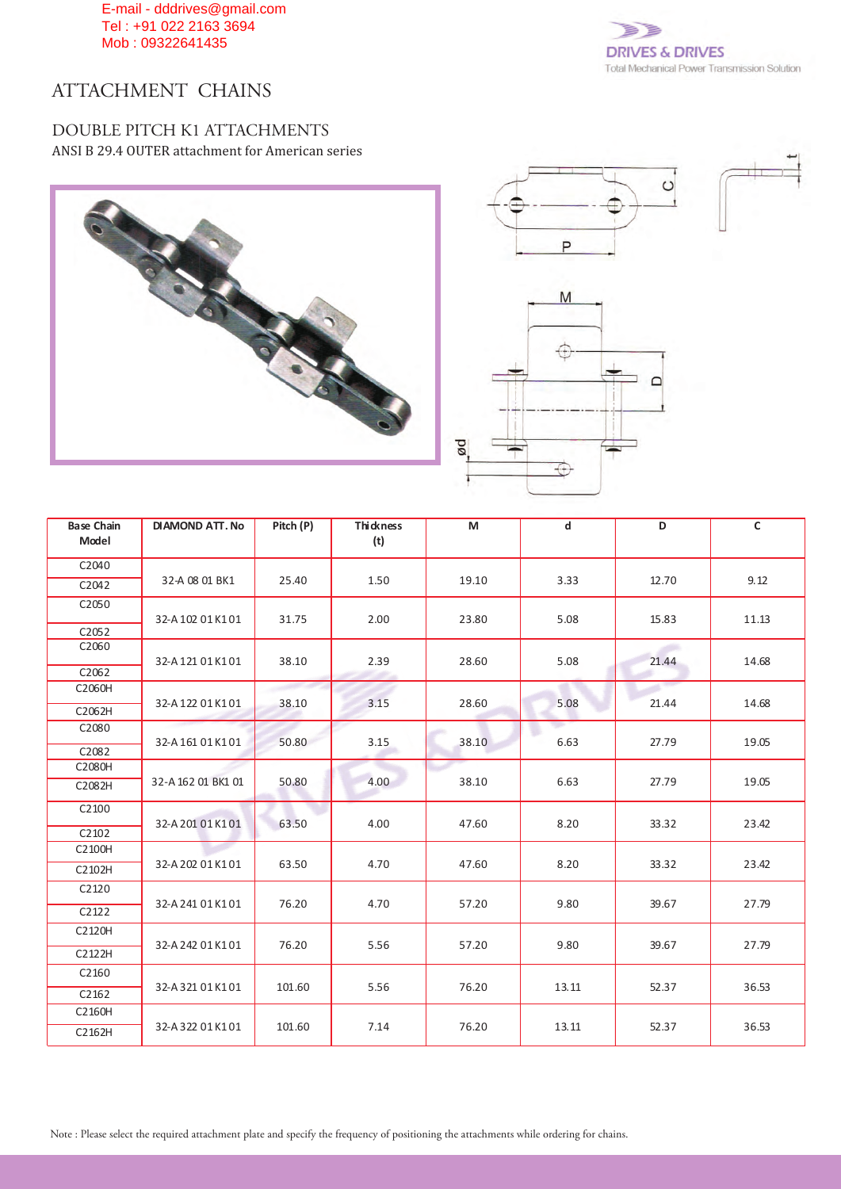E-mail - dddrives@gmail.com Tel : +91 022 2163 3694 Mob : 09322641435



## ATTACHMENT CHAINS

#### DOUBLE PITCH K1 ATTACHMENTS ANSI B 29.4 OUTER attachment for American series







| <b>Base Chain</b><br>Model | <b>DIAMOND ATT. No</b> | Pitch (P) | <b>Thickness</b><br>(t) | M     | d     | D     | $\mathsf{C}$ |
|----------------------------|------------------------|-----------|-------------------------|-------|-------|-------|--------------|
| C2040                      |                        |           |                         |       |       |       |              |
| C2042                      | 32-A 08 01 BK1         | 25.40     | 1.50                    | 19.10 | 3.33  | 12.70 | 9.12         |
| C2050                      | 32-A 102 01 K101       | 31.75     | 2.00                    | 23.80 | 5.08  | 15.83 | 11.13        |
| C2052                      |                        |           |                         |       |       |       |              |
| C2060                      | 32-A12101K101          | 38.10     | 2.39                    | 28.60 | 5.08  | 21.44 | 14.68        |
| C2062                      |                        |           |                         |       |       |       |              |
| C2060H                     | 32-A 122 01 K101       |           |                         |       | 5.08  | 21.44 | 14.68        |
| C2062H                     |                        | 38.10     | 3.15                    | 28.60 |       |       |              |
| C2080                      | 32-A16101K101          | 50.80     | 3.15                    | 38.10 | 6.63  | 27.79 | 19.05        |
| C2082                      |                        |           |                         |       |       |       |              |
| C2080H                     |                        |           |                         |       |       |       |              |
| C2082H                     | 32-A 162 01 BK1 01     | 50.80     | 4.00                    | 38.10 | 6.63  | 27.79 | 19.05        |
| C2100                      | 32-A 201 01 K101       | 63.50     | 4.00                    | 47.60 | 8.20  | 33.32 | 23.42        |
| C2102                      |                        |           |                         |       |       |       |              |
| C2100H                     | 32-A 202 01 K101       | 63.50     | 4.70                    |       |       | 33.32 | 23.42        |
| C2102H                     |                        |           |                         | 47.60 | 8.20  |       |              |
| C2120                      | 32-A 241 01 K101       | 76.20     | 4.70                    | 57.20 | 9.80  | 39.67 | 27.79        |
| C2122                      |                        |           |                         |       |       |       |              |
| C2120H                     |                        |           |                         |       |       |       |              |
| C2122H                     | 32-A 242 01 K101       | 76.20     | 5.56                    | 57.20 | 9.80  | 39.67 | 27.79        |
| C2160                      |                        |           |                         |       |       |       |              |
| C2162                      | 32-A 321 01 K101       | 101.60    | 5.56                    | 76.20 | 13.11 | 52.37 | 36.53        |
| C2160H                     |                        |           |                         |       |       |       |              |
| C2162H                     | 32-A 322 01 K101       | 101.60    | 7.14                    | 76.20 | 13.11 | 52.37 | 36.53        |